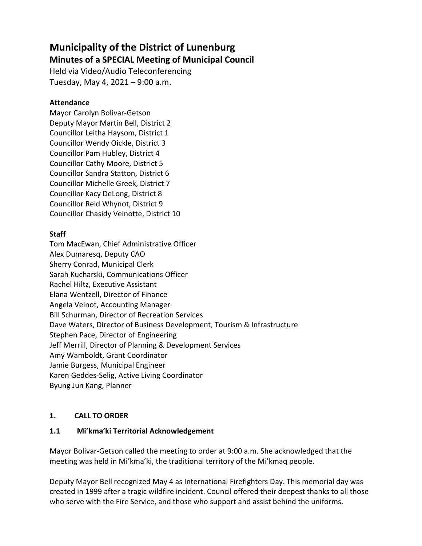# Municipality of the District of Lunenburg Minutes of a SPECIAL Meeting of Municipal Council

Held via Video/Audio Teleconferencing Tuesday, May 4, 2021 – 9:00 a.m.

## **Attendance**

Mayor Carolyn Bolivar-Getson Deputy Mayor Martin Bell, District 2 Councillor Leitha Haysom, District 1 Councillor Wendy Oickle, District 3 Councillor Pam Hubley, District 4 Councillor Cathy Moore, District 5 Councillor Sandra Statton, District 6 Councillor Michelle Greek, District 7 Councillor Kacy DeLong, District 8 Councillor Reid Whynot, District 9 Councillor Chasidy Veinotte, District 10

## **Staff**

Tom MacEwan, Chief Administrative Officer Alex Dumaresq, Deputy CAO Sherry Conrad, Municipal Clerk Sarah Kucharski, Communications Officer Rachel Hiltz, Executive Assistant Elana Wentzell, Director of Finance Angela Veinot, Accounting Manager Bill Schurman, Director of Recreation Services Dave Waters, Director of Business Development, Tourism & Infrastructure Stephen Pace, Director of Engineering Jeff Merrill, Director of Planning & Development Services Amy Wamboldt, Grant Coordinator Jamie Burgess, Municipal Engineer Karen Geddes-Selig, Active Living Coordinator Byung Jun Kang, Planner

# 1. CALL TO ORDER

#### 1.1 Mi'kma'ki Territorial Acknowledgement

Mayor Bolivar-Getson called the meeting to order at 9:00 a.m. She acknowledged that the meeting was held in Mi'kma'ki, the traditional territory of the Mi'kmaq people.

Deputy Mayor Bell recognized May 4 as International Firefighters Day. This memorial day was created in 1999 after a tragic wildfire incident. Council offered their deepest thanks to all those who serve with the Fire Service, and those who support and assist behind the uniforms.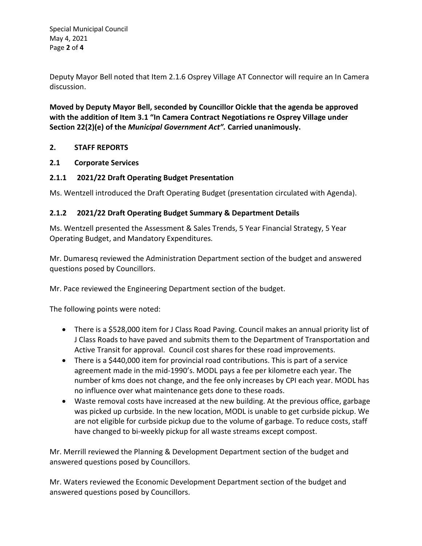Special Municipal Council May 4, 2021 Page 2 of 4

Deputy Mayor Bell noted that Item 2.1.6 Osprey Village AT Connector will require an In Camera discussion.

Moved by Deputy Mayor Bell, seconded by Councillor Oickle that the agenda be approved with the addition of Item 3.1 "In Camera Contract Negotiations re Osprey Village under Section 22(2)(e) of the Municipal Government Act". Carried unanimously.

#### 2. STAFF REPORTS

#### 2.1 Corporate Services

# 2.1.1 2021/22 Draft Operating Budget Presentation

Ms. Wentzell introduced the Draft Operating Budget (presentation circulated with Agenda).

#### 2.1.2 2021/22 Draft Operating Budget Summary & Department Details

Ms. Wentzell presented the Assessment & Sales Trends, 5 Year Financial Strategy, 5 Year Operating Budget, and Mandatory Expenditures.

Mr. Dumaresq reviewed the Administration Department section of the budget and answered questions posed by Councillors.

Mr. Pace reviewed the Engineering Department section of the budget.

The following points were noted:

- There is a \$528,000 item for J Class Road Paving. Council makes an annual priority list of J Class Roads to have paved and submits them to the Department of Transportation and Active Transit for approval. Council cost shares for these road improvements.
- There is a \$440,000 item for provincial road contributions. This is part of a service agreement made in the mid-1990's. MODL pays a fee per kilometre each year. The number of kms does not change, and the fee only increases by CPI each year. MODL has no influence over what maintenance gets done to these roads.
- Waste removal costs have increased at the new building. At the previous office, garbage was picked up curbside. In the new location, MODL is unable to get curbside pickup. We are not eligible for curbside pickup due to the volume of garbage. To reduce costs, staff have changed to bi-weekly pickup for all waste streams except compost.

Mr. Merrill reviewed the Planning & Development Department section of the budget and answered questions posed by Councillors.

Mr. Waters reviewed the Economic Development Department section of the budget and answered questions posed by Councillors.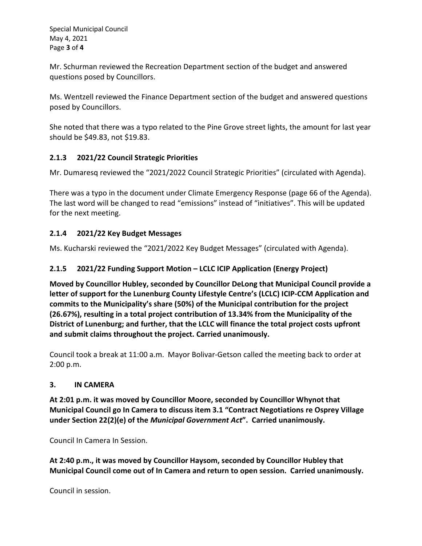Special Municipal Council May 4, 2021 Page 3 of 4

Mr. Schurman reviewed the Recreation Department section of the budget and answered questions posed by Councillors.

Ms. Wentzell reviewed the Finance Department section of the budget and answered questions posed by Councillors.

She noted that there was a typo related to the Pine Grove street lights, the amount for last year should be \$49.83, not \$19.83.

## 2.1.3 2021/22 Council Strategic Priorities

Mr. Dumaresq reviewed the "2021/2022 Council Strategic Priorities" (circulated with Agenda).

There was a typo in the document under Climate Emergency Response (page 66 of the Agenda). The last word will be changed to read "emissions" instead of "initiatives". This will be updated for the next meeting.

# 2.1.4 2021/22 Key Budget Messages

Ms. Kucharski reviewed the "2021/2022 Key Budget Messages" (circulated with Agenda).

#### 2.1.5 2021/22 Funding Support Motion – LCLC ICIP Application (Energy Project)

Moved by Councillor Hubley, seconded by Councillor DeLong that Municipal Council provide a letter of support for the Lunenburg County Lifestyle Centre's (LCLC) ICIP-CCM Application and commits to the Municipality's share (50%) of the Municipal contribution for the project (26.67%), resulting in a total project contribution of 13.34% from the Municipality of the District of Lunenburg; and further, that the LCLC will finance the total project costs upfront and submit claims throughout the project. Carried unanimously.

Council took a break at 11:00 a.m. Mayor Bolivar-Getson called the meeting back to order at 2:00 p.m.

#### 3. IN CAMERA

At 2:01 p.m. it was moved by Councillor Moore, seconded by Councillor Whynot that Municipal Council go In Camera to discuss item 3.1 "Contract Negotiations re Osprey Village under Section 22(2)(e) of the Municipal Government Act". Carried unanimously.

Council In Camera In Session.

At 2:40 p.m., it was moved by Councillor Haysom, seconded by Councillor Hubley that Municipal Council come out of In Camera and return to open session. Carried unanimously.

Council in session.